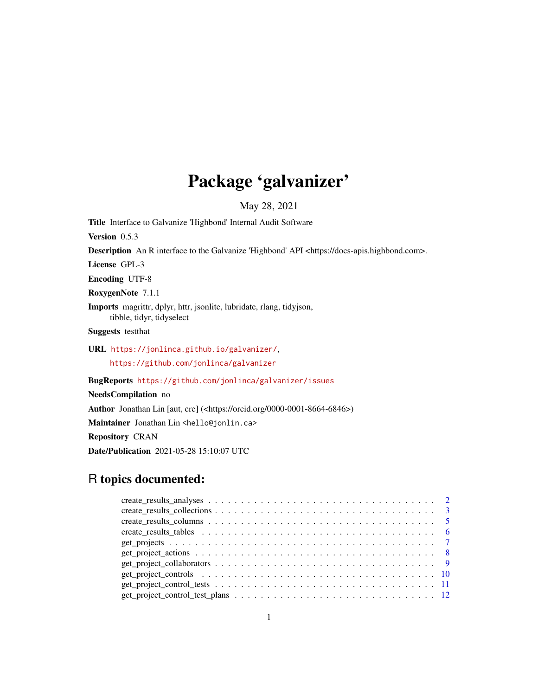# Package 'galvanizer'

May 28, 2021

Title Interface to Galvanize 'Highbond' Internal Audit Software Version 0.5.3 Description An R interface to the Galvanize 'Highbond' API <https://docs-apis.highbond.com>. License GPL-3 Encoding UTF-8 RoxygenNote 7.1.1 Imports magrittr, dplyr, httr, jsonlite, lubridate, rlang, tidyjson, tibble, tidyr, tidyselect Suggests testthat URL <https://jonlinca.github.io/galvanizer/>, <https://github.com/jonlinca/galvanizer>

BugReports <https://github.com/jonlinca/galvanizer/issues>

NeedsCompilation no

Author Jonathan Lin [aut, cre] (<https://orcid.org/0000-0001-8664-6846>)

Maintainer Jonathan Lin <hello@jonlin.ca>

Repository CRAN

Date/Publication 2021-05-28 15:10:07 UTC

# R topics documented: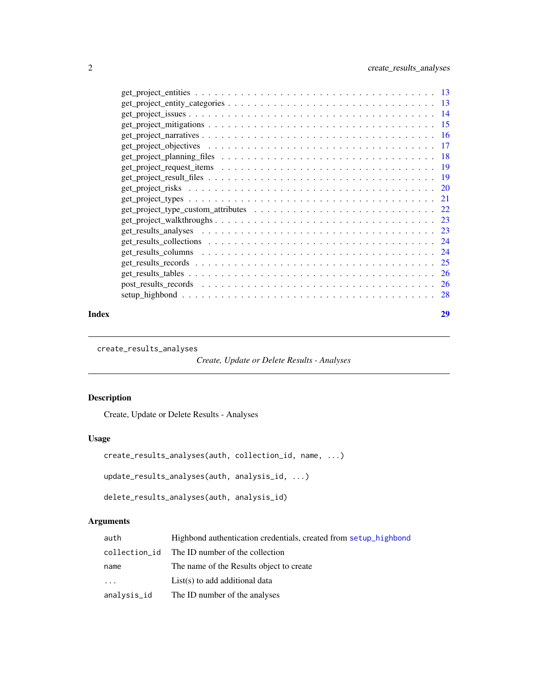<span id="page-1-0"></span>

| Index |                                                                                                                                      | 29 |
|-------|--------------------------------------------------------------------------------------------------------------------------------------|----|
|       |                                                                                                                                      |    |
|       |                                                                                                                                      |    |
|       |                                                                                                                                      |    |
|       |                                                                                                                                      |    |
|       |                                                                                                                                      |    |
|       |                                                                                                                                      |    |
|       |                                                                                                                                      |    |
|       |                                                                                                                                      |    |
|       |                                                                                                                                      |    |
|       |                                                                                                                                      |    |
|       |                                                                                                                                      |    |
|       |                                                                                                                                      |    |
|       |                                                                                                                                      |    |
|       |                                                                                                                                      |    |
|       |                                                                                                                                      |    |
|       |                                                                                                                                      |    |
|       |                                                                                                                                      |    |
|       |                                                                                                                                      |    |
|       |                                                                                                                                      |    |
|       | $get\_project\_entities \dots \dots \dots \dots \dots \dots \dots \dots \dots \dots \dots \dots \dots \dots \dots \dots \dots \dots$ |    |
|       |                                                                                                                                      |    |

create\_results\_analyses

*Create, Update or Delete Results - Analyses*

# Description

Create, Update or Delete Results - Analyses

# Usage

```
create_results_analyses(auth, collection_id, name, ...)
```

```
update_results_analyses(auth, analysis_id, ...)
```

```
delete_results_analyses(auth, analysis_id)
```
# Arguments

| auth          | Highbond authentication credentials, created from setup_highbond |
|---------------|------------------------------------------------------------------|
| collection_id | The ID number of the collection                                  |
| name          | The name of the Results object to create                         |
| $\cdots$      | $List(s)$ to add additional data                                 |
| analysis_id   | The ID number of the analyses                                    |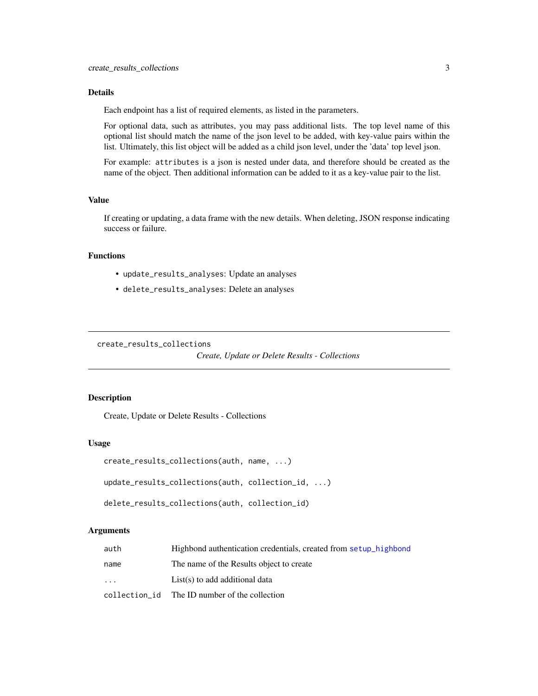#### <span id="page-2-0"></span>Details

Each endpoint has a list of required elements, as listed in the parameters.

For optional data, such as attributes, you may pass additional lists. The top level name of this optional list should match the name of the json level to be added, with key-value pairs within the list. Ultimately, this list object will be added as a child json level, under the 'data' top level json.

For example: attributes is a json is nested under data, and therefore should be created as the name of the object. Then additional information can be added to it as a key-value pair to the list.

#### Value

If creating or updating, a data frame with the new details. When deleting, JSON response indicating success or failure.

# Functions

- update\_results\_analyses: Update an analyses
- delete\_results\_analyses: Delete an analyses

create\_results\_collections

```
Create, Update or Delete Results - Collections
```
#### Description

Create, Update or Delete Results - Collections

#### Usage

```
create_results_collections(auth, name, ...)
```
update\_results\_collections(auth, collection\_id, ...)

```
delete_results_collections(auth, collection_id)
```
#### Arguments

| auth | Highbond authentication credentials, created from setup highbond |
|------|------------------------------------------------------------------|
| name | The name of the Results object to create                         |
| .    | $List(s)$ to add additional data                                 |
|      | collection id The ID number of the collection                    |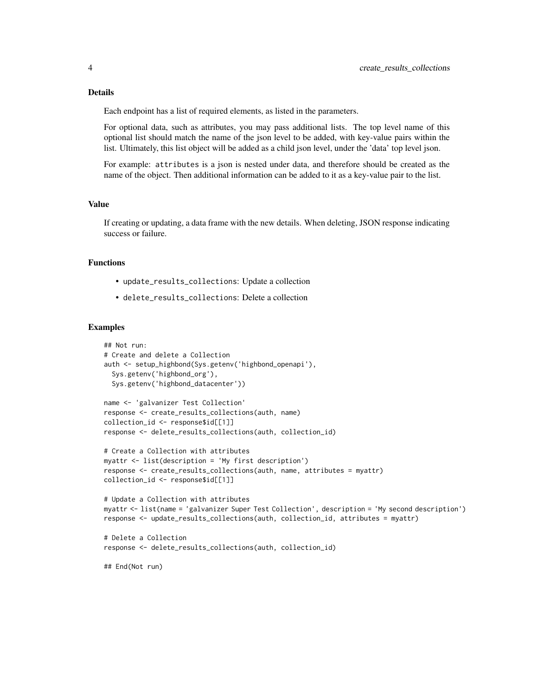#### Details

Each endpoint has a list of required elements, as listed in the parameters.

For optional data, such as attributes, you may pass additional lists. The top level name of this optional list should match the name of the json level to be added, with key-value pairs within the list. Ultimately, this list object will be added as a child json level, under the 'data' top level json.

For example: attributes is a json is nested under data, and therefore should be created as the name of the object. Then additional information can be added to it as a key-value pair to the list.

#### Value

If creating or updating, a data frame with the new details. When deleting, JSON response indicating success or failure.

#### Functions

- update\_results\_collections: Update a collection
- delete\_results\_collections: Delete a collection

#### Examples

```
## Not run:
# Create and delete a Collection
auth <- setup_highbond(Sys.getenv('highbond_openapi'),
 Sys.getenv('highbond_org'),
 Sys.getenv('highbond_datacenter'))
name <- 'galvanizer Test Collection'
response <- create_results_collections(auth, name)
collection_id <- response$id[[1]]
response <- delete_results_collections(auth, collection_id)
# Create a Collection with attributes
myattr <- list(description = 'My first description')
response <- create_results_collections(auth, name, attributes = myattr)
collection_id <- response$id[[1]]
# Update a Collection with attributes
myattr <- list(name = 'galvanizer Super Test Collection', description = 'My second description')
response <- update_results_collections(auth, collection_id, attributes = myattr)
# Delete a Collection
response <- delete_results_collections(auth, collection_id)
## End(Not run)
```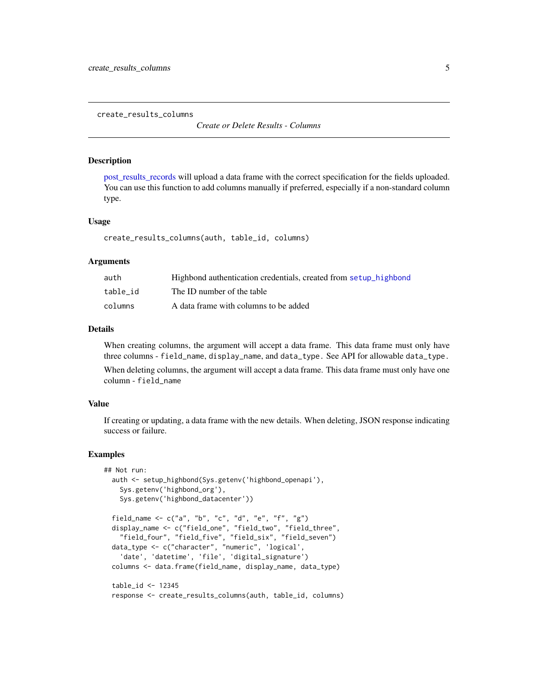<span id="page-4-0"></span>create\_results\_columns

*Create or Delete Results - Columns*

#### **Description**

[post\\_results\\_records](#page-25-1) will upload a data frame with the correct specification for the fields uploaded. You can use this function to add columns manually if preferred, especially if a non-standard column type.

#### Usage

```
create_results_columns(auth, table_id, columns)
```
#### Arguments

| auth     | Highbond authentication credentials, created from setup highbond |
|----------|------------------------------------------------------------------|
| table id | The ID number of the table                                       |
| columns  | A data frame with columns to be added                            |

#### Details

When creating columns, the argument will accept a data frame. This data frame must only have three columns - field\_name, display\_name, and data\_type. See API for allowable data\_type.

When deleting columns, the argument will accept a data frame. This data frame must only have one column - field\_name

#### Value

If creating or updating, a data frame with the new details. When deleting, JSON response indicating success or failure.

#### Examples

```
## Not run:
 auth <- setup_highbond(Sys.getenv('highbond_openapi'),
   Sys.getenv('highbond_org'),
   Sys.getenv('highbond_datacenter'))
 field_name <- c("a", "b", "c", "d", "e", "f", "g")
 display_name <- c("field_one", "field_two", "field_three",
    "field_four", "field_five", "field_six", "field_seven")
 data_type <- c("character", "numeric", 'logical',
    'date', 'datetime', 'file', 'digital_signature')
 columns <- data.frame(field_name, display_name, data_type)
 table_id <- 12345
 response <- create_results_columns(auth, table_id, columns)
```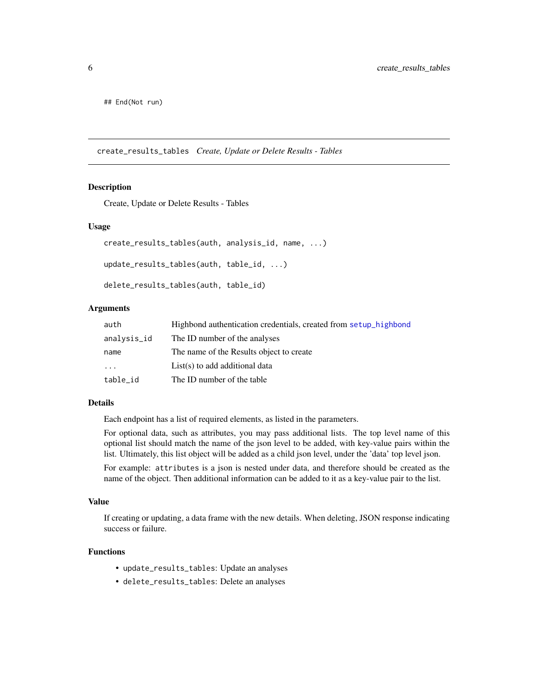<span id="page-5-0"></span>## End(Not run)

create\_results\_tables *Create, Update or Delete Results - Tables*

#### Description

Create, Update or Delete Results - Tables

#### Usage

```
create_results_tables(auth, analysis_id, name, ...)
update_results_tables(auth, table_id, ...)
delete_results_tables(auth, table_id)
```
#### Arguments

| auth        | Highbond authentication credentials, created from setup highbond |
|-------------|------------------------------------------------------------------|
| analysis_id | The ID number of the analyses                                    |
| name        | The name of the Results object to create                         |
| .           | $List(s)$ to add additional data                                 |
| table_id    | The ID number of the table                                       |

#### Details

Each endpoint has a list of required elements, as listed in the parameters.

For optional data, such as attributes, you may pass additional lists. The top level name of this optional list should match the name of the json level to be added, with key-value pairs within the list. Ultimately, this list object will be added as a child json level, under the 'data' top level json.

For example: attributes is a json is nested under data, and therefore should be created as the name of the object. Then additional information can be added to it as a key-value pair to the list.

#### Value

If creating or updating, a data frame with the new details. When deleting, JSON response indicating success or failure.

# Functions

- update\_results\_tables: Update an analyses
- delete\_results\_tables: Delete an analyses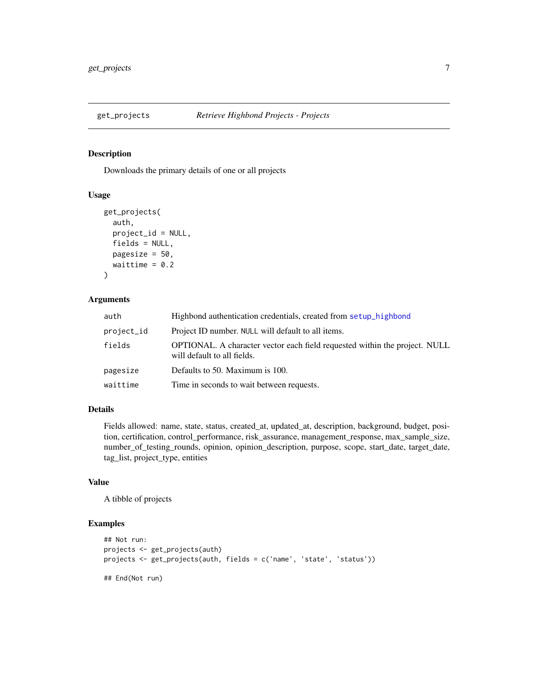<span id="page-6-0"></span>

# Description

Downloads the primary details of one or all projects

#### Usage

```
get_projects(
  auth,
 project_id = NULL,
  fields = NULL,
 pagesize = 50,
 waittime = 0.2)
```
# Arguments

| auth       | Highbond authentication credentials, created from setup_highbond                                          |
|------------|-----------------------------------------------------------------------------------------------------------|
| project_id | Project ID number. NULL will default to all items.                                                        |
| fields     | OPTIONAL. A character vector each field requested within the project. NULL<br>will default to all fields. |
| pagesize   | Defaults to 50. Maximum is 100.                                                                           |
| waittime   | Time in seconds to wait between requests.                                                                 |

# Details

Fields allowed: name, state, status, created\_at, updated\_at, description, background, budget, position, certification, control\_performance, risk\_assurance, management\_response, max\_sample\_size, number\_of\_testing\_rounds, opinion, opinion\_description, purpose, scope, start\_date, target\_date, tag\_list, project\_type, entities

#### Value

A tibble of projects

#### Examples

```
## Not run:
projects <- get_projects(auth)
projects <- get_projects(auth, fields = c('name', 'state', 'status'))
## End(Not run)
```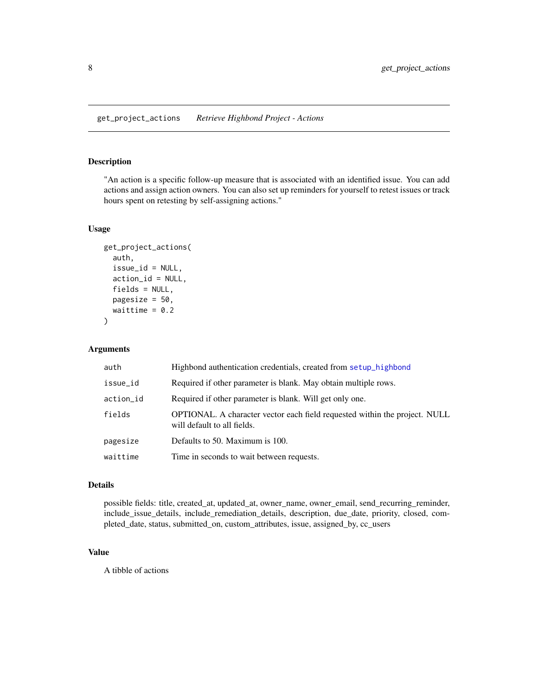# <span id="page-7-0"></span>Description

"An action is a specific follow-up measure that is associated with an identified issue. You can add actions and assign action owners. You can also set up reminders for yourself to retest issues or track hours spent on retesting by self-assigning actions."

# Usage

```
get_project_actions(
  auth,
  issue_id = NULL,
  action_id = NULL,
  fields = NULL,
 pagesize = 50,
  waittime = 0.2)
```
#### Arguments

| auth      | Highbond authentication credentials, created from setup_highbond                                          |
|-----------|-----------------------------------------------------------------------------------------------------------|
| issue_id  | Required if other parameter is blank. May obtain multiple rows.                                           |
| action_id | Required if other parameter is blank. Will get only one.                                                  |
| fields    | OPTIONAL. A character vector each field requested within the project. NULL<br>will default to all fields. |
| pagesize  | Defaults to 50. Maximum is 100.                                                                           |
| waittime  | Time in seconds to wait between requests.                                                                 |

### Details

possible fields: title, created\_at, updated\_at, owner\_name, owner\_email, send\_recurring\_reminder, include\_issue\_details, include\_remediation\_details, description, due\_date, priority, closed, completed\_date, status, submitted\_on, custom\_attributes, issue, assigned\_by, cc\_users

# Value

A tibble of actions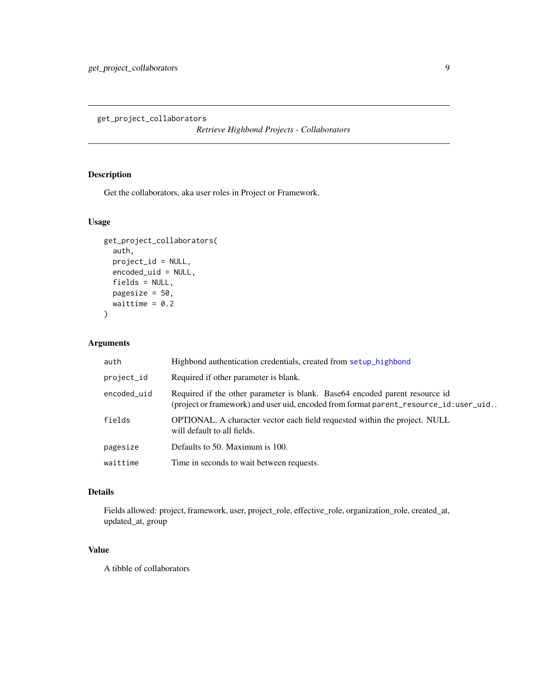<span id="page-8-0"></span>get\_project\_collaborators

*Retrieve Highbond Projects - Collaborators*

# Description

Get the collaborators, aka user roles in Project or Framework.

# Usage

```
get_project_collaborators(
 auth,
 project_id = NULL,
 encoded_uid = NULL,
 fields = NULL,
 pagesize = 50,
 waittime = 0.2)
```
# Arguments

| auth        | Highbond authentication credentials, created from setup_highbond                                                                                                     |
|-------------|----------------------------------------------------------------------------------------------------------------------------------------------------------------------|
| project_id  | Required if other parameter is blank.                                                                                                                                |
| encoded_uid | Required if the other parameter is blank. Base 64 encoded parent resource id<br>(project or framework) and user uid, encoded from format parent_resource_id:user_uid |
| fields      | <b>OPTIONAL.</b> A character vector each field requested within the project. NULL<br>will default to all fields.                                                     |
| pagesize    | Defaults to 50. Maximum is 100.                                                                                                                                      |
| waittime    | Time in seconds to wait between requests.                                                                                                                            |

# Details

Fields allowed: project, framework, user, project\_role, effective\_role, organization\_role, created\_at, updated\_at, group

# Value

A tibble of collaborators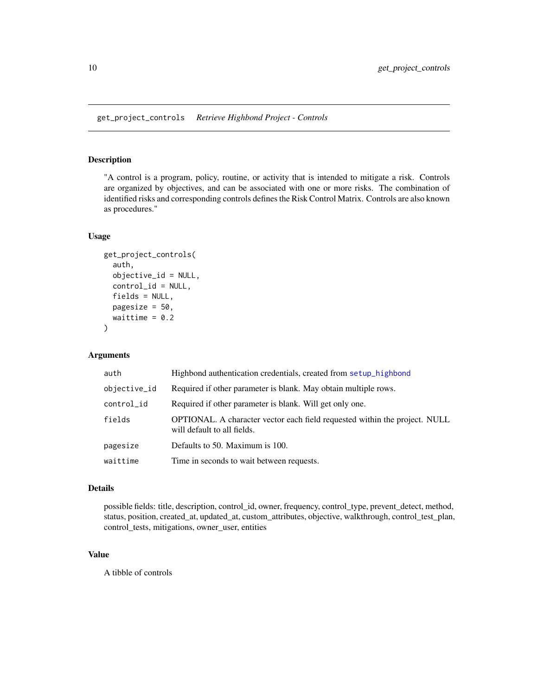# <span id="page-9-0"></span>Description

"A control is a program, policy, routine, or activity that is intended to mitigate a risk. Controls are organized by objectives, and can be associated with one or more risks. The combination of identified risks and corresponding controls defines the Risk Control Matrix. Controls are also known as procedures."

# Usage

```
get_project_controls(
  auth,
  objective_id = NULL,
 control_id = NULL,
  fields = NULL,
 pagesize = 50,
 waittime = 0.2)
```
#### Arguments

| auth         | Highbond authentication credentials, created from setup_highbond                                          |
|--------------|-----------------------------------------------------------------------------------------------------------|
| objective_id | Required if other parameter is blank. May obtain multiple rows.                                           |
| control_id   | Required if other parameter is blank. Will get only one.                                                  |
| fields       | OPTIONAL. A character vector each field requested within the project. NULL<br>will default to all fields. |
| pagesize     | Defaults to 50. Maximum is 100.                                                                           |
| waittime     | Time in seconds to wait between requests.                                                                 |

# Details

possible fields: title, description, control\_id, owner, frequency, control\_type, prevent\_detect, method, status, position, created\_at, updated\_at, custom\_attributes, objective, walkthrough, control\_test\_plan, control\_tests, mitigations, owner\_user, entities

#### Value

A tibble of controls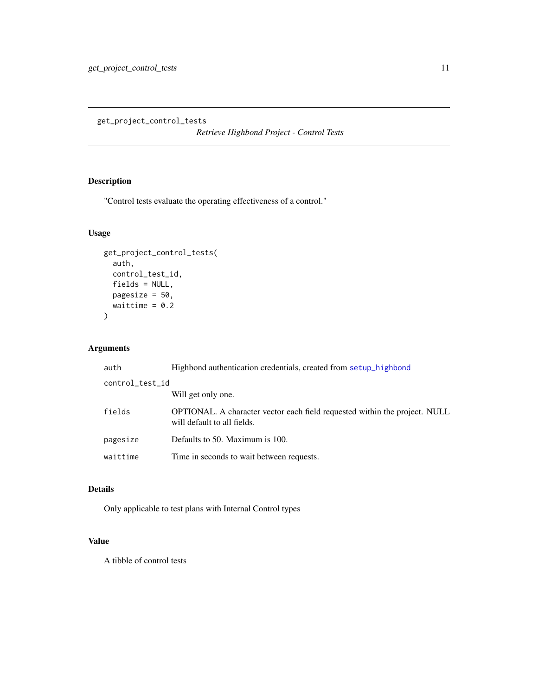<span id="page-10-0"></span>get\_project\_control\_tests

*Retrieve Highbond Project - Control Tests*

# Description

"Control tests evaluate the operating effectiveness of a control."

# Usage

```
get_project_control_tests(
 auth,
 control_test_id,
 fields = NULL,
 pagesize = 50,
 waittime = 0.2)
```
# Arguments

| auth            | Highbond authentication credentials, created from setup_highbond                                                 |  |
|-----------------|------------------------------------------------------------------------------------------------------------------|--|
| control_test_id |                                                                                                                  |  |
|                 | Will get only one.                                                                                               |  |
| fields          | <b>OPTIONAL.</b> A character vector each field requested within the project. NULL<br>will default to all fields. |  |
| pagesize        | Defaults to 50. Maximum is 100.                                                                                  |  |
| waittime        | Time in seconds to wait between requests.                                                                        |  |

# Details

Only applicable to test plans with Internal Control types

# Value

A tibble of control tests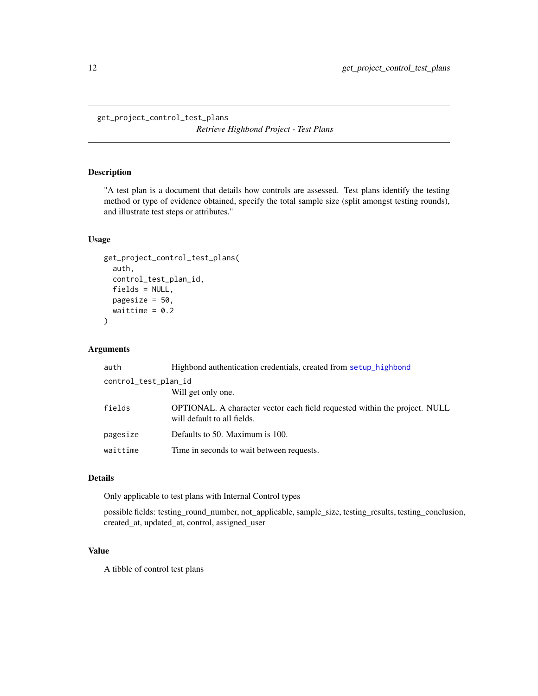```
get_project_control_test_plans
```
*Retrieve Highbond Project - Test Plans*

# Description

"A test plan is a document that details how controls are assessed. Test plans identify the testing method or type of evidence obtained, specify the total sample size (split amongst testing rounds), and illustrate test steps or attributes."

### Usage

```
get_project_control_test_plans(
  auth,
  control_test_plan_id,
  fields = NULL,
 pagesize = 50,
 waittime = 0.2)
```
#### Arguments

| auth                 | Highbond authentication credentials, created from setup highbond                                                 |  |
|----------------------|------------------------------------------------------------------------------------------------------------------|--|
| control_test_plan_id |                                                                                                                  |  |
|                      | Will get only one.                                                                                               |  |
| fields               | <b>OPTIONAL.</b> A character vector each field requested within the project. NULL<br>will default to all fields. |  |
| pagesize             | Defaults to 50. Maximum is 100.                                                                                  |  |
| waittime             | Time in seconds to wait between requests.                                                                        |  |

# Details

Only applicable to test plans with Internal Control types

possible fields: testing\_round\_number, not\_applicable, sample\_size, testing\_results, testing\_conclusion, created\_at, updated\_at, control, assigned\_user

# Value

A tibble of control test plans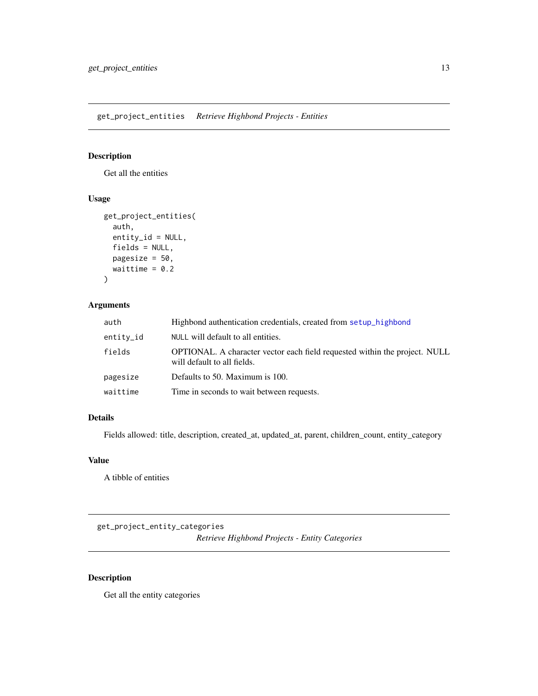<span id="page-12-0"></span>get\_project\_entities *Retrieve Highbond Projects - Entities*

### Description

Get all the entities

# Usage

```
get_project_entities(
 auth,
 entity_id = NULL,
 fields = NULL,
 pagesize = 50,
 waittime = 0.2)
```
# Arguments

| auth      | Highbond authentication credentials, created from setup_highbond                                                 |
|-----------|------------------------------------------------------------------------------------------------------------------|
| entity_id | NULL will default to all entities.                                                                               |
| fields    | <b>OPTIONAL.</b> A character vector each field requested within the project. NULL<br>will default to all fields. |
| pagesize  | Defaults to 50. Maximum is 100.                                                                                  |
| waittime  | Time in seconds to wait between requests.                                                                        |

# Details

Fields allowed: title, description, created\_at, updated\_at, parent, children\_count, entity\_category

# Value

A tibble of entities

get\_project\_entity\_categories *Retrieve Highbond Projects - Entity Categories*

# Description

Get all the entity categories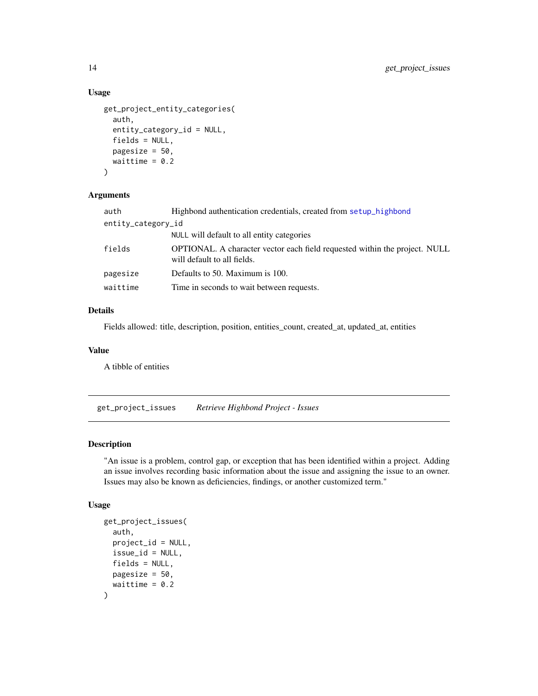# Usage

```
get_project_entity_categories(
  auth,
  entity_category_id = NULL,
  fields = NULL,
 pagesize = 50,
 waittime = 0.2)
```
# Arguments

| auth               | Highbond authentication credentials, created from setup_highbond                                                 |
|--------------------|------------------------------------------------------------------------------------------------------------------|
| entity_category_id |                                                                                                                  |
|                    | NULL will default to all entity categories                                                                       |
| fields             | <b>OPTIONAL.</b> A character vector each field requested within the project. NULL<br>will default to all fields. |
| pagesize           | Defaults to 50. Maximum is 100.                                                                                  |
| waittime           | Time in seconds to wait between requests.                                                                        |

# Details

Fields allowed: title, description, position, entities\_count, created\_at, updated\_at, entities

#### Value

A tibble of entities

get\_project\_issues *Retrieve Highbond Project - Issues*

# Description

"An issue is a problem, control gap, or exception that has been identified within a project. Adding an issue involves recording basic information about the issue and assigning the issue to an owner. Issues may also be known as deficiencies, findings, or another customized term."

### Usage

```
get_project_issues(
  auth,
 project_id = NULL,issue_id = NULL,
 fields = NULL,
 pagesize = 50,
 waittime = 0.2)
```
<span id="page-13-0"></span>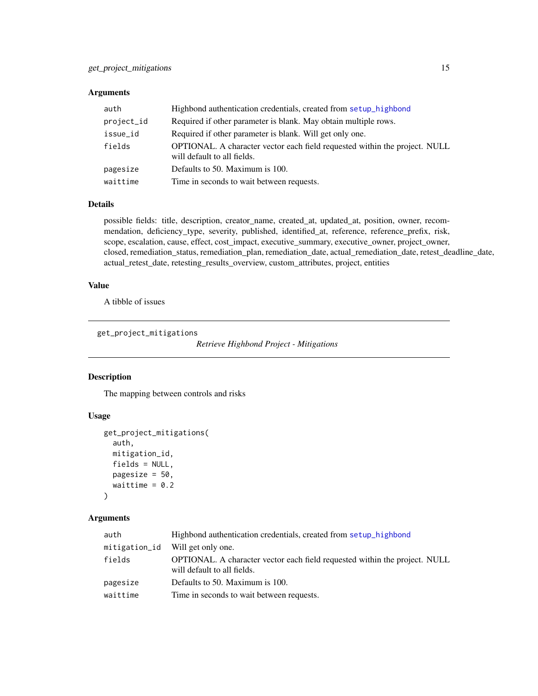# <span id="page-14-0"></span>Arguments

| auth       | Highbond authentication credentials, created from setup highbond                                                 |
|------------|------------------------------------------------------------------------------------------------------------------|
| project_id | Required if other parameter is blank. May obtain multiple rows.                                                  |
| issue_id   | Required if other parameter is blank. Will get only one.                                                         |
| fields     | <b>OPTIONAL.</b> A character vector each field requested within the project. NULL<br>will default to all fields. |
| pagesize   | Defaults to 50. Maximum is 100.                                                                                  |
| waittime   | Time in seconds to wait between requests.                                                                        |

#### Details

possible fields: title, description, creator\_name, created\_at, updated\_at, position, owner, recommendation, deficiency\_type, severity, published, identified\_at, reference, reference\_prefix, risk, scope, escalation, cause, effect, cost\_impact, executive\_summary, executive\_owner, project\_owner, closed, remediation\_status, remediation\_plan, remediation\_date, actual\_remediation\_date, retest\_deadline\_date, actual\_retest\_date, retesting\_results\_overview, custom\_attributes, project, entities

# Value

A tibble of issues

```
get_project_mitigations
```
*Retrieve Highbond Project - Mitigations*

# Description

The mapping between controls and risks

# Usage

```
get_project_mitigations(
  auth,
  mitigation_id,
  fields = NULL,
  pagesize = 50,
  waittime = 0.2\mathcal{L}
```
## Arguments

| auth          | Highbond authentication credentials, created from setup highbond                                                 |
|---------------|------------------------------------------------------------------------------------------------------------------|
| mitigation_id | Will get only one.                                                                                               |
| fields        | <b>OPTIONAL.</b> A character vector each field requested within the project. NULL<br>will default to all fields. |
| pagesize      | Defaults to 50. Maximum is 100.                                                                                  |
| waittime      | Time in seconds to wait between requests.                                                                        |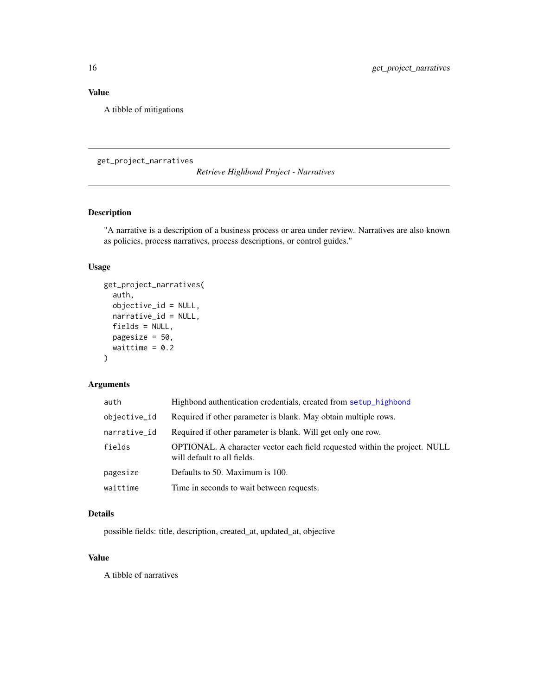# <span id="page-15-0"></span>Value

A tibble of mitigations

get\_project\_narratives

*Retrieve Highbond Project - Narratives*

# Description

"A narrative is a description of a business process or area under review. Narratives are also known as policies, process narratives, process descriptions, or control guides."

# Usage

```
get_project_narratives(
  auth,
  objective_id = NULL,
 narrative_id = NULL,
 fields = NULL,
 pagesize = 50,
 waittime = 0.2)
```
#### Arguments

| auth         | Highbond authentication credentials, created from setup_highbond                                          |
|--------------|-----------------------------------------------------------------------------------------------------------|
| objective_id | Required if other parameter is blank. May obtain multiple rows.                                           |
| narrative_id | Required if other parameter is blank. Will get only one row.                                              |
| fields       | OPTIONAL. A character vector each field requested within the project. NULL<br>will default to all fields. |
| pagesize     | Defaults to 50. Maximum is 100.                                                                           |
| waittime     | Time in seconds to wait between requests.                                                                 |

# Details

possible fields: title, description, created\_at, updated\_at, objective

# Value

A tibble of narratives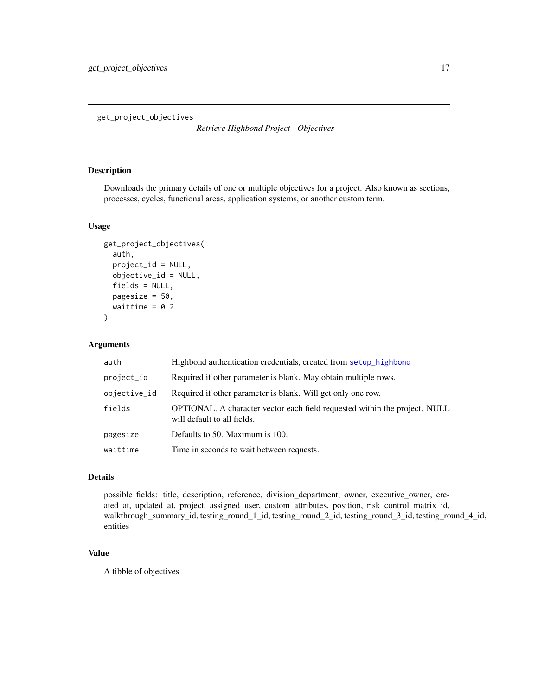<span id="page-16-0"></span>get\_project\_objectives

*Retrieve Highbond Project - Objectives*

## Description

Downloads the primary details of one or multiple objectives for a project. Also known as sections, processes, cycles, functional areas, application systems, or another custom term.

#### Usage

```
get_project_objectives(
  auth,
 project_id = NULL,
  objective_id = NULL,
  fields = NULL,
  pagesize = 50,
  waittime = 0.2)
```
## Arguments

| auth         | Highbond authentication credentials, created from setup_highbond                                                 |
|--------------|------------------------------------------------------------------------------------------------------------------|
| project_id   | Required if other parameter is blank. May obtain multiple rows.                                                  |
| objective_id | Required if other parameter is blank. Will get only one row.                                                     |
| fields       | <b>OPTIONAL.</b> A character vector each field requested within the project. NULL<br>will default to all fields. |
| pagesize     | Defaults to 50. Maximum is 100.                                                                                  |
| waittime     | Time in seconds to wait between requests.                                                                        |

#### Details

possible fields: title, description, reference, division\_department, owner, executive\_owner, created\_at, updated\_at, project, assigned\_user, custom\_attributes, position, risk\_control\_matrix\_id, walkthrough\_summary\_id, testing\_round\_1\_id, testing\_round\_2\_id, testing\_round\_3\_id, testing\_round\_4\_id, entities

# Value

A tibble of objectives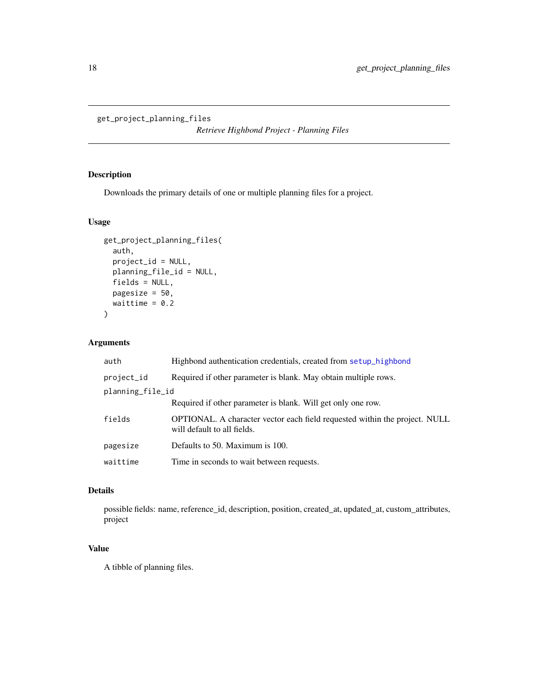```
get_project_planning_files
```
*Retrieve Highbond Project - Planning Files*

# Description

Downloads the primary details of one or multiple planning files for a project.

# Usage

```
get_project_planning_files(
 auth,
 project_id = NULL,
 planning_file_id = NULL,
 fields = NULL,
 pagesize = 50,
 waittime = 0.2)
```
# Arguments

| auth             | Highbond authentication credentials, created from setup_highbond                                                 |
|------------------|------------------------------------------------------------------------------------------------------------------|
| project_id       | Required if other parameter is blank. May obtain multiple rows.                                                  |
| planning_file_id |                                                                                                                  |
|                  | Required if other parameter is blank. Will get only one row.                                                     |
| fields           | <b>OPTIONAL.</b> A character vector each field requested within the project. NULL<br>will default to all fields. |
| pagesize         | Defaults to 50. Maximum is 100.                                                                                  |
| waittime         | Time in seconds to wait between requests.                                                                        |

# Details

possible fields: name, reference\_id, description, position, created\_at, updated\_at, custom\_attributes, project

# Value

A tibble of planning files.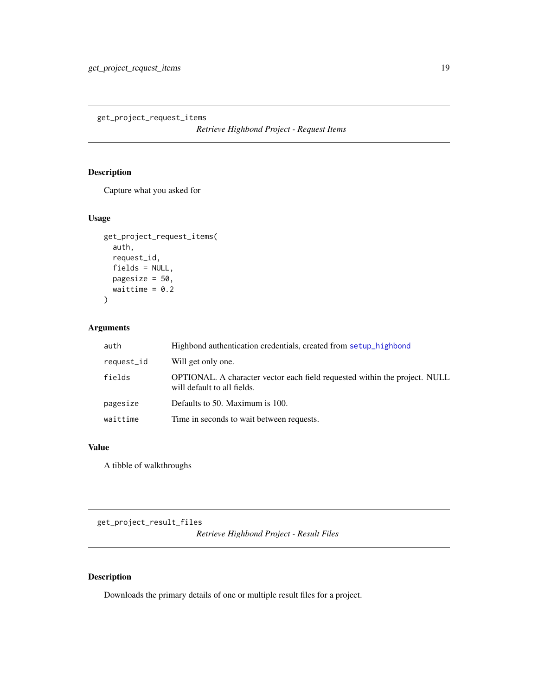<span id="page-18-0"></span>get\_project\_request\_items

*Retrieve Highbond Project - Request Items*

# Description

Capture what you asked for

# Usage

```
get_project_request_items(
 auth,
 request_id,
 fields = NULL,
 pagesize = 50,
 waittime = 0.2)
```
# Arguments

| auth       | Highbond authentication credentials, created from setup_highbond                                          |
|------------|-----------------------------------------------------------------------------------------------------------|
| request_id | Will get only one.                                                                                        |
| fields     | OPTIONAL. A character vector each field requested within the project. NULL<br>will default to all fields. |
| pagesize   | Defaults to 50. Maximum is 100.                                                                           |
| waittime   | Time in seconds to wait between requests.                                                                 |

#### Value

A tibble of walkthroughs

get\_project\_result\_files

*Retrieve Highbond Project - Result Files*

# Description

Downloads the primary details of one or multiple result files for a project.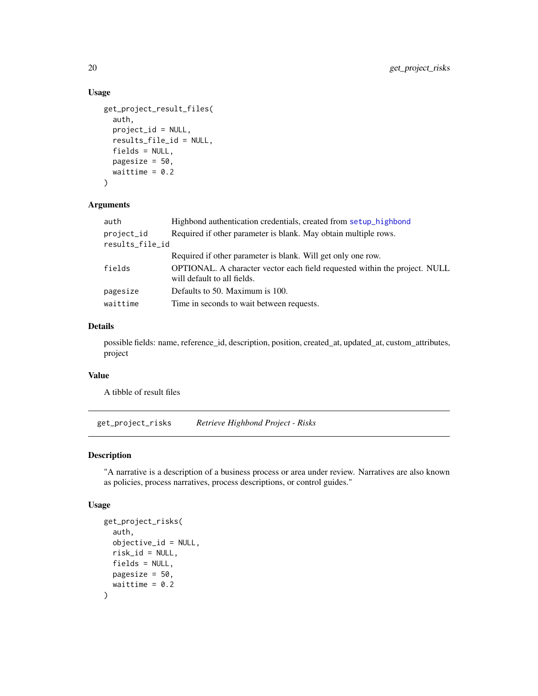# Usage

```
get_project_result_files(
 auth,
 project_id = NULL,
 results_file_id = NULL,
 fields = NULL,pagesize = 50,
 waittime = 0.2)
```
# Arguments

| auth            | Highbond authentication credentials, created from setup_highbond                                                 |
|-----------------|------------------------------------------------------------------------------------------------------------------|
| project_id      | Required if other parameter is blank. May obtain multiple rows.                                                  |
| results_file_id |                                                                                                                  |
|                 | Required if other parameter is blank. Will get only one row.                                                     |
| fields          | <b>OPTIONAL.</b> A character vector each field requested within the project. NULL<br>will default to all fields. |
| pagesize        | Defaults to 50. Maximum is 100.                                                                                  |
| waittime        | Time in seconds to wait between requests.                                                                        |

#### Details

possible fields: name, reference\_id, description, position, created\_at, updated\_at, custom\_attributes, project

#### Value

A tibble of result files

get\_project\_risks *Retrieve Highbond Project - Risks*

# Description

"A narrative is a description of a business process or area under review. Narratives are also known as policies, process narratives, process descriptions, or control guides."

### Usage

```
get_project_risks(
  auth,
  objective_id = NULL,
  risk_id = NULL,
  fields = NULL,
  pagesize = 50,
  waittime = 0.2\mathcal{L}
```
<span id="page-19-0"></span>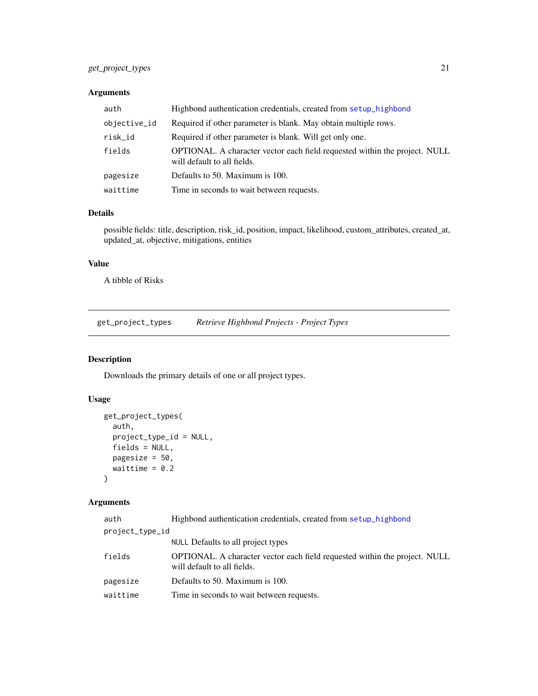# <span id="page-20-0"></span>get\_project\_types 21

# Arguments

| auth         | Highbond authentication credentials, created from setup highbond                                                 |
|--------------|------------------------------------------------------------------------------------------------------------------|
| objective_id | Required if other parameter is blank. May obtain multiple rows.                                                  |
| risk_id      | Required if other parameter is blank. Will get only one.                                                         |
| fields       | <b>OPTIONAL.</b> A character vector each field requested within the project. NULL<br>will default to all fields. |
| pagesize     | Defaults to 50. Maximum is 100.                                                                                  |
| waittime     | Time in seconds to wait between requests.                                                                        |

# Details

possible fields: title, description, risk\_id, position, impact, likelihood, custom\_attributes, created\_at, updated\_at, objective, mitigations, entities

# Value

A tibble of Risks

<span id="page-20-1"></span>get\_project\_types *Retrieve Highbond Projects - Project Types*

# Description

Downloads the primary details of one or all project types.

# Usage

```
get_project_types(
 auth,
 project_type_id = NULL,
 fields = NULL,
 pagesize = 50,
 waittime = 0.2)
```
# Arguments

| auth            | Highbond authentication credentials, created from setup_highbond                                          |
|-----------------|-----------------------------------------------------------------------------------------------------------|
| project_type_id |                                                                                                           |
|                 | NULL Defaults to all project types                                                                        |
| fields          | OPTIONAL. A character vector each field requested within the project. NULL<br>will default to all fields. |
| pagesize        | Defaults to 50. Maximum is 100.                                                                           |
| waittime        | Time in seconds to wait between requests.                                                                 |
|                 |                                                                                                           |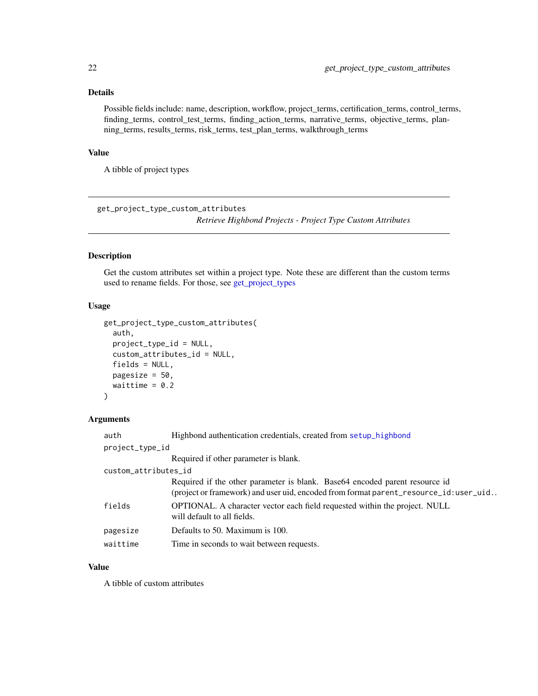# <span id="page-21-0"></span>Details

Possible fields include: name, description, workflow, project\_terms, certification\_terms, control\_terms, finding\_terms, control\_test\_terms, finding\_action\_terms, narrative\_terms, objective\_terms, planning\_terms, results\_terms, risk\_terms, test\_plan\_terms, walkthrough\_terms

### Value

A tibble of project types

get\_project\_type\_custom\_attributes

*Retrieve Highbond Projects - Project Type Custom Attributes*

# Description

Get the custom attributes set within a project type. Note these are different than the custom terms used to rename fields. For those, see [get\\_project\\_types](#page-20-1)

# Usage

```
get_project_type_custom_attributes(
  auth,
  project_type_id = NULL,
  custom_attributes_id = NULL,
  fields = NULL,
 pagesize = 50,
  waittime = 0.2)
```
#### Arguments

| auth                 | Highbond authentication credentials, created from setup_highbond                                                                                                     |
|----------------------|----------------------------------------------------------------------------------------------------------------------------------------------------------------------|
| project_type_id      |                                                                                                                                                                      |
|                      | Required if other parameter is blank.                                                                                                                                |
| custom_attributes_id |                                                                                                                                                                      |
|                      | Required if the other parameter is blank. Base 64 encoded parent resource id<br>(project or framework) and user uid, encoded from format parent_resource_id:user_uid |
| fields               | <b>OPTIONAL.</b> A character vector each field requested within the project. NULL<br>will default to all fields.                                                     |
| pagesize             | Defaults to 50. Maximum is 100.                                                                                                                                      |
| waittime             | Time in seconds to wait between requests.                                                                                                                            |

# Value

A tibble of custom attributes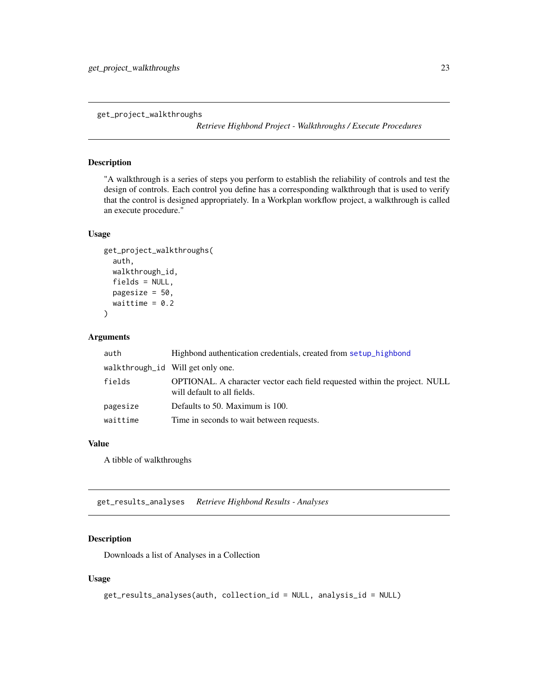<span id="page-22-0"></span>get\_project\_walkthroughs

*Retrieve Highbond Project - Walkthroughs / Execute Procedures*

#### Description

"A walkthrough is a series of steps you perform to establish the reliability of controls and test the design of controls. Each control you define has a corresponding walkthrough that is used to verify that the control is designed appropriately. In a Workplan workflow project, a walkthrough is called an execute procedure."

#### Usage

```
get_project_walkthroughs(
  auth,
  walkthrough_id,
  fields = NULL,
  pagesize = 50,
  waittime = 0.2\mathcal{L}
```
#### Arguments

| auth     | Highbond authentication credentials, created from setup_highbond                                          |
|----------|-----------------------------------------------------------------------------------------------------------|
|          | walkthrough_id Will get only one.                                                                         |
| fields   | OPTIONAL. A character vector each field requested within the project. NULL<br>will default to all fields. |
| pagesize | Defaults to 50. Maximum is 100.                                                                           |
| waittime | Time in seconds to wait between requests.                                                                 |

#### Value

A tibble of walkthroughs

get\_results\_analyses *Retrieve Highbond Results - Analyses*

# Description

Downloads a list of Analyses in a Collection

#### Usage

```
get_results_analyses(auth, collection_id = NULL, analysis_id = NULL)
```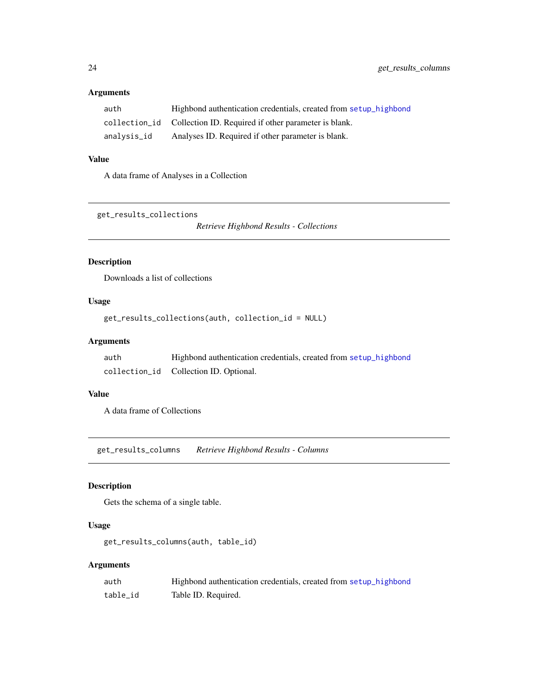# <span id="page-23-0"></span>Arguments

| auth        | Highbond authentication credentials, created from setup highbond   |
|-------------|--------------------------------------------------------------------|
|             | collection id Collection ID. Required if other parameter is blank. |
| analysis_id | Analyses ID. Required if other parameter is blank.                 |

# Value

A data frame of Analyses in a Collection

get\_results\_collections

*Retrieve Highbond Results - Collections*

# Description

Downloads a list of collections

# Usage

get\_results\_collections(auth, collection\_id = NULL)

# Arguments

| auth | Highbond authentication credentials, created from setup highbond |
|------|------------------------------------------------------------------|
|      | collection_id    Collection ID. Optional.                        |

# Value

A data frame of Collections

get\_results\_columns *Retrieve Highbond Results - Columns*

# Description

Gets the schema of a single table.

# Usage

get\_results\_columns(auth, table\_id)

# Arguments

| auth     | Highbond authentication credentials, created from setup highbond |
|----------|------------------------------------------------------------------|
| table id | Table ID. Required.                                              |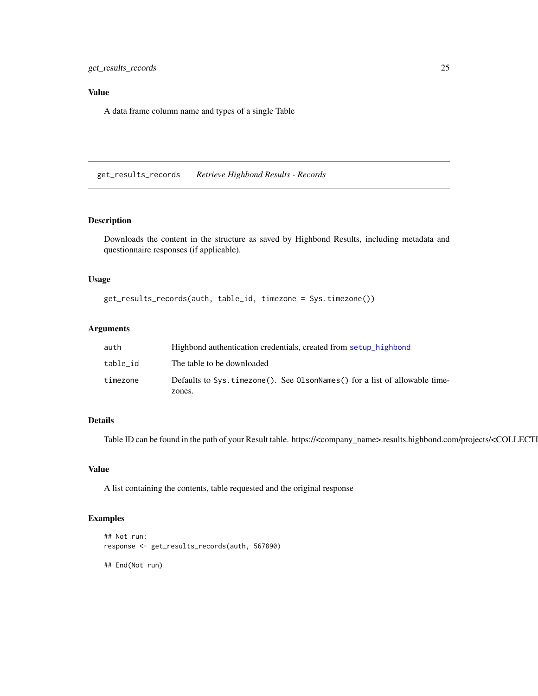<span id="page-24-0"></span>get\_results\_records 25

# Value

A data frame column name and types of a single Table

get\_results\_records *Retrieve Highbond Results - Records*

#### Description

Downloads the content in the structure as saved by Highbond Results, including metadata and questionnaire responses (if applicable).

#### Usage

```
get_results_records(auth, table_id, timezone = Sys.timezone())
```
# Arguments

| auth     | Highbond authentication credentials, created from setup highbond           |
|----------|----------------------------------------------------------------------------|
| table id | The table to be downloaded                                                 |
| timezone | Defaults to Sys.timezone(). See OlsonNames() for a list of allowable time- |
|          | zones.                                                                     |

#### Details

Table ID can be found in the path of your Result table. https://<company\_name>.results.highbond.com/projects/<COLLECTI

# Value

A list containing the contents, table requested and the original response

# Examples

```
## Not run:
response <- get_results_records(auth, 567890)
```
## End(Not run)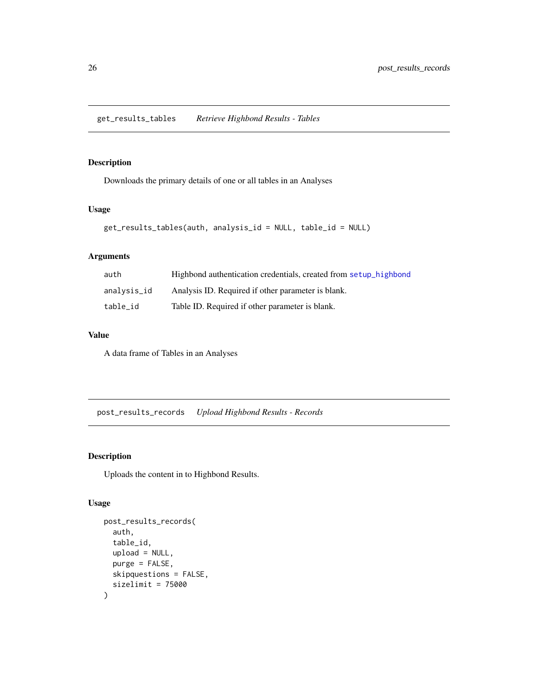# <span id="page-25-0"></span>Description

Downloads the primary details of one or all tables in an Analyses

# Usage

```
get_results_tables(auth, analysis_id = NULL, table_id = NULL)
```
# Arguments

| auth        | Highbond authentication credentials, created from setup highbond |
|-------------|------------------------------------------------------------------|
| analysis_id | Analysis ID. Required if other parameter is blank.               |
| table id    | Table ID. Required if other parameter is blank.                  |

# Value

A data frame of Tables in an Analyses

<span id="page-25-1"></span>post\_results\_records *Upload Highbond Results - Records*

# Description

Uploads the content in to Highbond Results.

# Usage

```
post_results_records(
  auth,
  table_id,
  upload = NULL,
  purge = FALSE,
  skipquestions = FALSE,
  sizelimit = 75000
\mathcal{E}
```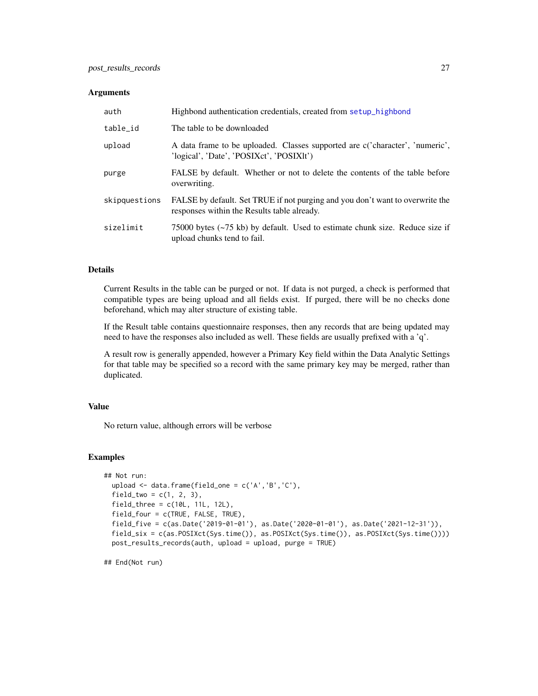#### <span id="page-26-0"></span>**Arguments**

| auth          | Highbond authentication credentials, created from setup highbond                                                             |
|---------------|------------------------------------------------------------------------------------------------------------------------------|
| table_id      | The table to be downloaded                                                                                                   |
| upload        | A data frame to be uploaded. Classes supported are c('character', 'numeric',<br>'logical', 'Date', 'POSIXct', 'POSIXlt')     |
| purge         | FALSE by default. Whether or not to delete the contents of the table before<br>overwriting.                                  |
| skipquestions | FALSE by default. Set TRUE if not purging and you don't want to overwrite the<br>responses within the Results table already. |
| sizelimit     | 75000 bytes $(-75 \text{ kb})$ by default. Used to estimate chunk size. Reduce size if<br>upload chunks tend to fail.        |

#### Details

Current Results in the table can be purged or not. If data is not purged, a check is performed that compatible types are being upload and all fields exist. If purged, there will be no checks done beforehand, which may alter structure of existing table.

If the Result table contains questionnaire responses, then any records that are being updated may need to have the responses also included as well. These fields are usually prefixed with a 'q'.

A result row is generally appended, however a Primary Key field within the Data Analytic Settings for that table may be specified so a record with the same primary key may be merged, rather than duplicated.

#### Value

No return value, although errors will be verbose

#### Examples

```
## Not run:
 upload <- data.frame(field_one = c('A','B','C'),
 field_{two} = c(1, 2, 3),field_{\text{three}} = c(10L, 11L, 12L),
 field_four = c(TRUE, FALSE, TRUE),
 field_five = c(as.Date('2019-01-01'), as.Date('2020-01-01'), as.Date('2021-12-31')),
 field_six = c(as.POSIXct(Sys.time()), as.POSIXct(Sys.time()), as.POSIXct(Sys.time())))
 post_results_records(auth, upload = upload, purge = TRUE)
```
## End(Not run)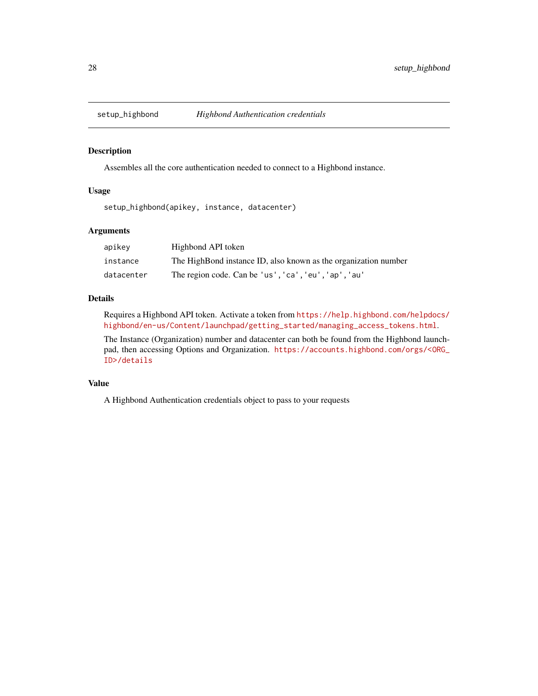<span id="page-27-1"></span><span id="page-27-0"></span>

# Description

Assembles all the core authentication needed to connect to a Highbond instance.

#### Usage

setup\_highbond(apikey, instance, datacenter)

# Arguments

| apikev     | Highbond API token                                              |
|------------|-----------------------------------------------------------------|
| instance   | The HighBond instance ID, also known as the organization number |
| datacenter | The region code. Can be 'us', 'ca', 'eu', 'ap', 'au'            |

#### Details

Requires a Highbond API token. Activate a token from [https://help.highbond.com/helpdocs/](https://help.highbond.com/helpdocs/highbond/en-us/Content/launchpad/getting_started/managing_access_tokens.html) [highbond/en-us/Content/launchpad/getting\\_started/managing\\_access\\_tokens.html](https://help.highbond.com/helpdocs/highbond/en-us/Content/launchpad/getting_started/managing_access_tokens.html).

The Instance (Organization) number and datacenter can both be found from the Highbond launchpad, then accessing Options and Organization. [https://accounts.highbond.com/orgs/<ORG\\_](https://accounts.highbond.com/orgs/<ORG_ID>/details) [ID>/details](https://accounts.highbond.com/orgs/<ORG_ID>/details)

# Value

A Highbond Authentication credentials object to pass to your requests